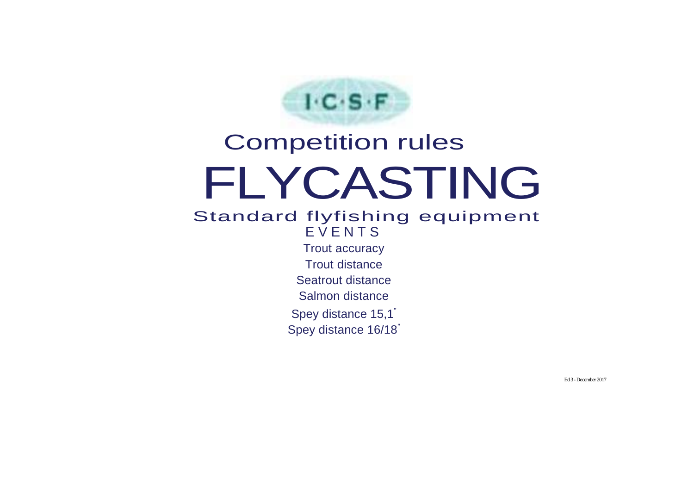

# Competition rules FLYCASTING Standard flyfishing equipment **EVENTS** Trout accuracy Trout distance Seatrout distance Salmon distance

Spey distance 15,1"

Spey distance 16/18"

Ed 3 -December 2017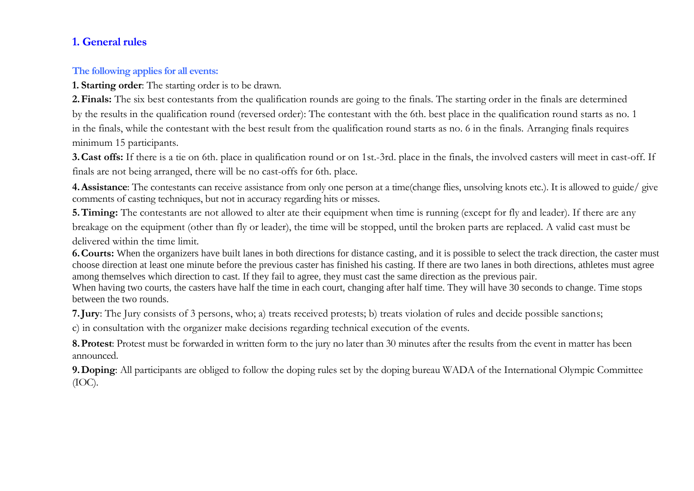## **1. General rules**

#### **The following applies for all events:**

**1. Starting order**: The starting order is to be drawn.

**2.Finals:** The six best contestants from the qualification rounds are going to the finals. The starting order in the finals are determined by the results in the qualification round (reversed order): The contestant with the 6th. best place in the qualification round starts as no. 1 in the finals, while the contestant with the best result from the qualification round starts as no. 6 in the finals. Arranging finals requires minimum 15 participants.

**3.Cast offs:** If there is a tie on 6th. place in qualification round or on 1st.-3rd. place in the finals, the involved casters will meet in cast-off. If finals are not being arranged, there will be no cast-offs for 6th. place.

**4.Assistance**: The contestants can receive assistance from only one person at a time(change flies, unsolving knots etc.). It is allowed to guide/ give comments of casting techniques, but not in accuracy regarding hits or misses.

**5. Timing:** The contestants are not allowed to alter ate their equipment when time is running (except for fly and leader). If there are any breakage on the equipment (other than fly or leader), the time will be stopped, until the broken parts are replaced. A valid cast must be delivered within the time limit.

**6.Courts:** When the organizers have built lanes in both directions for distance casting, and it is possible to select the track direction, the caster must choose direction at least one minute before the previous caster has finished his casting. If there are two lanes in both directions, athletes must agree among themselves which direction to cast. If they fail to agree, they must cast the same direction as the previous pair.

When having two courts, the casters have half the time in each court, changing after half time. They will have 30 seconds to change. Time stops between the two rounds.

**7.Jury**: The Jury consists of 3 persons, who; a) treats received protests; b) treats violation of rules and decide possible sanctions;

c) in consultation with the organizer make decisions regarding technical execution of the events.

**8.Protest**: Protest must be forwarded in written form to the jury no later than 30 minutes after the results from the event in matter has been announced.

**9.Doping**: All participants are obliged to follow the doping rules set by the doping bureau WADA of the International Olympic Committee (IOC).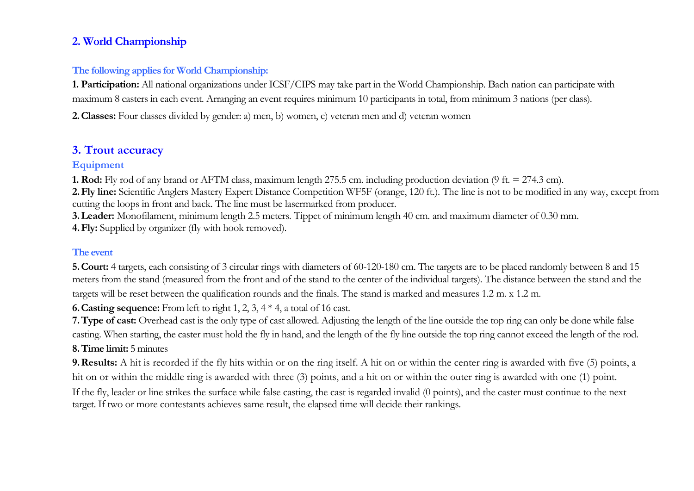# **2. World Championship**

#### **The following applies for World Championship:**

**1. Participation:** All national organizations under ICSF/CIPS may take part in the World Championship. Bach nation can participate with maximum 8 casters in each event. Arranging an event requires minimum 10 participants in total, from minimum 3 nations (per class).

**2.Classes:** Four classes divided by gender: a) men, b) women, c) veteran men and d) veteran women

# **3. Trout accuracy**

#### **Equipment**

**1. Rod:** Fly rod of any brand or AFTM class, maximum length 275.5 cm. including production deviation (9 ft. = 274.3 cm).

**2.Fly line:** Scientific Anglers Mastery Expert Distance Competition WF5F (orange, 120 ft.). The line is not to be modified in any way, except from cutting the loops in front and back. The line must be lasermarked from producer.

**3.Leader:** Monofilament, minimum length 2.5 meters. Tippet of minimum length 40 cm. and maximum diameter of 0.30 mm.

**4.Fly:** Supplied by organizer (fly with hook removed).

#### **The event**

**5.Court:** 4 targets, each consisting of 3 circular rings with diameters of 60-120-180 cm. The targets are to be placed randomly between 8 and 15 meters from the stand (measured from the front and of the stand to the center of the individual targets). The distance between the stand and the targets will be reset between the qualification rounds and the finals. The stand is marked and measures 1.2 m. x 1.2 m.

**6.Casting sequence:** From left to right 1, 2, 3, 4 \* 4, a total of 16 cast.

**7.Type of cast:** Overhead cast is the only type of cast allowed. Adjusting the length of the line outside the top ring can only be done while false casting. When starting, the caster must hold the fly in hand, and the length of the fly line outside the top ring cannot exceed the length of the rod. **8.Time limit:** 5 minutes

**9.Results:** A hit is recorded if the fly hits within or on the ring itself. A hit on or within the center ring is awarded with five (5) points, a hit on or within the middle ring is awarded with three (3) points, and a hit on or within the outer ring is awarded with one (1) point. If the fly, leader or line strikes the surface while false casting, the cast is regarded invalid (0 points), and the caster must continue to the next target. If two or more contestants achieves same result, the elapsed time will decide their rankings.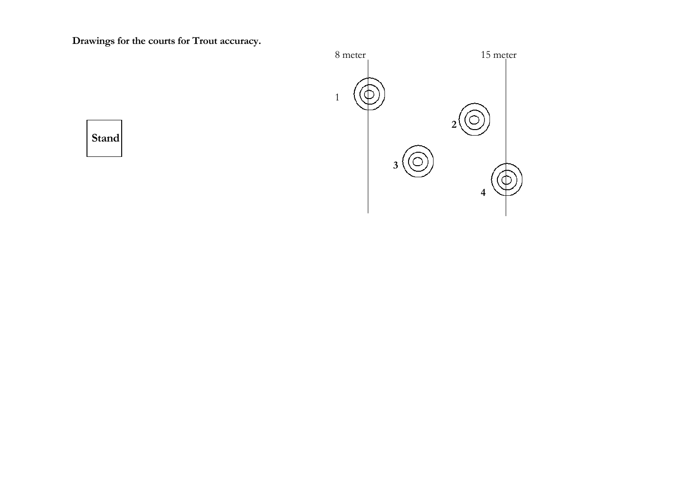**Drawings for the courts for Trout accuracy.**



 **Stand**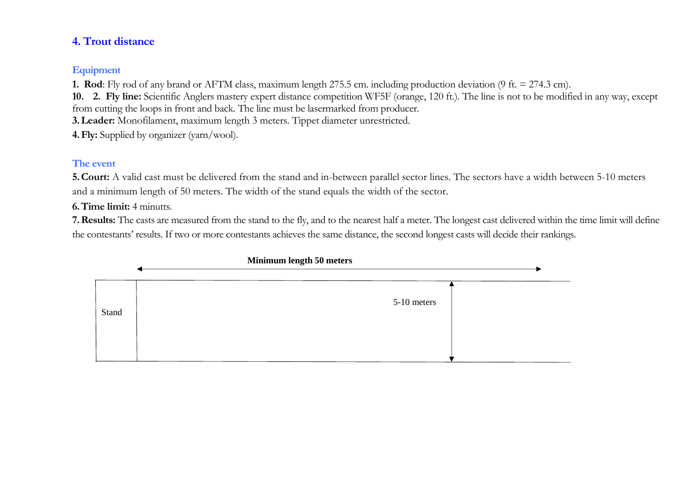## **4. Trout distance**

## **Equipment**

**1. Rod**: Fly rod of any brand or AFTM class, maximum length 275.5 cm. including production deviation (9 ft. = 274.3 cm).

**10. 2. Fly line:** Scientific Anglers mastery expert distance competition WF5F (orange, 120 ft.). The line is not to be modified in any way, except from cutting the loops in front and back. The line must be lasermarked from producer.

**3.Leader:** Monofilament, maximum length 3 meters. Tippet diameter unrestricted.

**4.Fly:** Supplied by organizer (yarn/wool).

## **The event**

**5.Court:** A valid cast must be delivered from the stand and in-between parallel sector lines. The sectors have a width between 5-10 meters and a minimum length of 50 meters. The width of the stand equals the width of the sector.

**6.Time limit:** 4 minutts.

**7.Results:** The casts are measured from the stand to the fly, and to the nearest half a meter. The longest cast delivered within the time limit will define the contestants' results. If two or more contestants achieves the same distance, the second longest casts will decide their rankings.

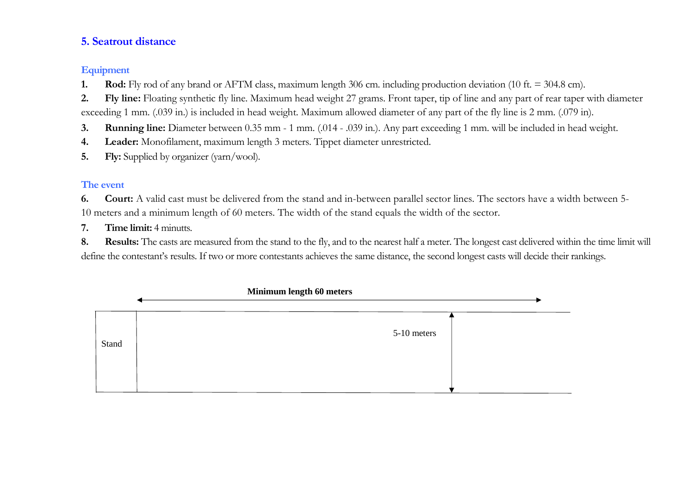#### **5. Seatrout distance**

#### **Equipment**

- **1. Rod:** Fly rod of any brand or AFTM class, maximum length 306 cm. including production deviation (10 ft. = 304.8 cm).
- **2. Fly line:** Floating synthetic fly line. Maximum head weight 27 grams. Front taper, tip of line and any part of rear taper with diameter exceeding 1 mm. (.039 in.) is included in head weight. Maximum allowed diameter of any part of the fly line is 2 mm. (.079 in).
- **3. Running line:** Diameter between 0.35 mm 1 mm. (.014 .039 in.). Any part exceeding 1 mm. will be included in head weight.
- **4. Leader:** Monofilament, maximum length 3 meters. Tippet diameter unrestricted.
- **5. Fly:** Supplied by organizer (yarn/wool).

# **The event**

**6. Court:** A valid cast must be delivered from the stand and in-between parallel sector lines. The sectors have a width between 5- 10 meters and a minimum length of 60 meters. The width of the stand equals the width of the sector.

**7. Time limit:** 4 minutts.

8. **Results:** The casts are measured from the stand to the fly, and to the nearest half a meter. The longest cast delivered within the time limit will define the contestant's results. If two or more contestants achieves the same distance, the second longest casts will decide their rankings.

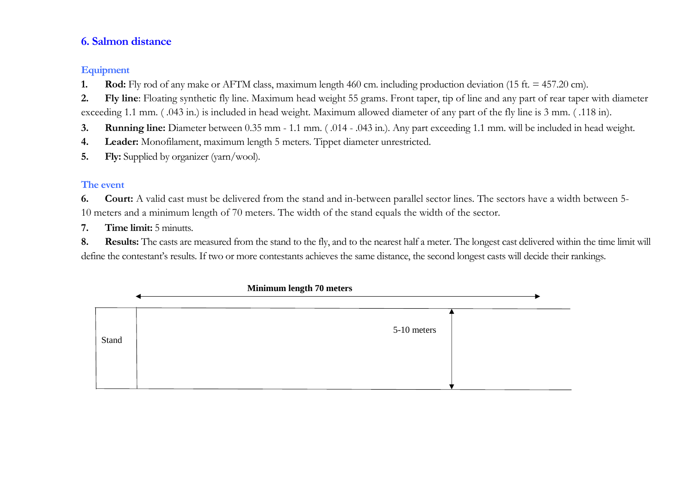#### **6. Salmon distance**

#### **Equipment**

- **1. Rod:** Fly rod of any make or AFTM class, maximum length 460 cm. including production deviation (15 ft. = 457.20 cm).
- **2. Fly line**: Floating synthetic fly line. Maximum head weight 55 grams. Front taper, tip of line and any part of rear taper with diameter exceeding 1.1 mm. ( .043 in.) is included in head weight. Maximum allowed diameter of any part of the fly line is 3 mm. ( .118 in).
- **3. Running line:** Diameter between 0.35 mm 1.1 mm. ( .014 .043 in.). Any part exceeding 1.1 mm. will be included in head weight.
- **4. Leader:** Monofilament, maximum length 5 meters. Tippet diameter unrestricted.
- **5. Fly:** Supplied by organizer (yarn/wool).

# **The event**

**6. Court:** A valid cast must be delivered from the stand and in-between parallel sector lines. The sectors have a width between 5- 10 meters and a minimum length of 70 meters. The width of the stand equals the width of the sector.

**7. Time limit:** 5 minutts.

8. **Results:** The casts are measured from the stand to the fly, and to the nearest half a meter. The longest cast delivered within the time limit will define the contestant's results. If two or more contestants achieves the same distance, the second longest casts will decide their rankings.

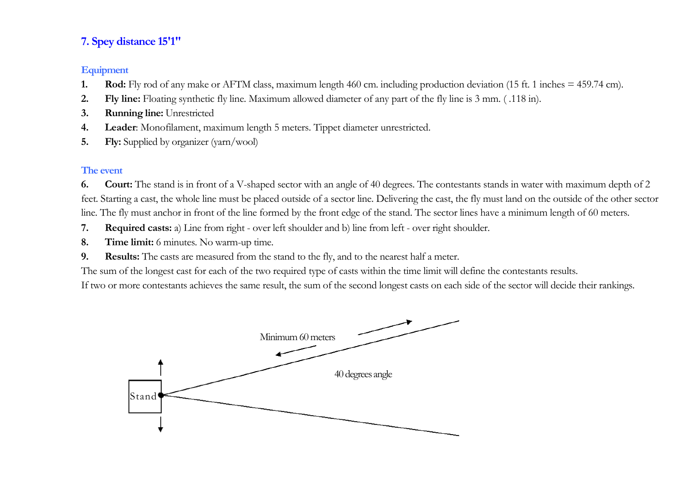# **7. Spey distance 15'1"**

#### **Equipment**

- **1. Rod:** Fly rod of any make or AFTM class, maximum length 460 cm. including production deviation (15 ft. 1 inches = 459.74 cm).
- **2. Fly line:** Floating synthetic fly line. Maximum allowed diameter of any part of the fly line is 3 mm. ( .118 in).
- **3. Running line:** Unrestricted
- **4. Leader**: Monofilament, maximum length 5 meters. Tippet diameter unrestricted.
- **5. Fly:** Supplied by organizer (yarn/wool)

## **The event**

**6. Court:** The stand is in front of a V-shaped sector with an angle of 40 degrees. The contestants stands in water with maximum depth of 2 feet. Starting a cast, the whole line must be placed outside of a sector line. Delivering the cast, the fly must land on the outside of the other sector line. The fly must anchor in front of the line formed by the front edge of the stand. The sector lines have a minimum length of 60 meters.

- **7. Required casts:** a) Line from right over left shoulder and b) line from left over right shoulder.
- **8. Time limit:** 6 minutes. No warm-up time.
- **9. Results:** The casts are measured from the stand to the fly, and to the nearest half a meter.

The sum of the longest cast for each of the two required type of casts within the time limit will define the contestants results.

If two or more contestants achieves the same result, the sum of the second longest casts on each side of the sector will decide their rankings.